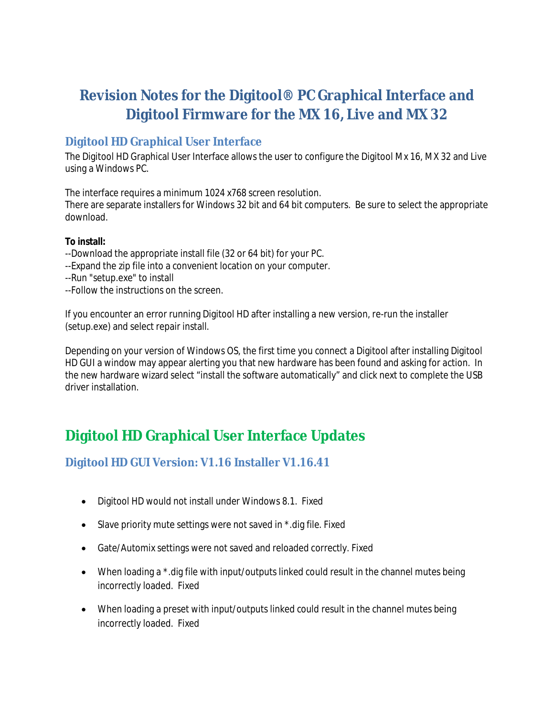# **Revision Notes for the Digitool® PC Graphical Interface and Digitool Firmware for the MX 16, Live and MX 32**

#### **Digitool HD Graphical User Interface**

The Digitool HD Graphical User Interface allows the user to configure the Digitool Mx 16, MX 32 and Live using a Windows PC.

The interface requires a minimum 1024 x768 screen resolution.

There are separate installers for Windows 32 bit and 64 bit computers. Be sure to select the appropriate download.

#### **To install:**

- --Download the appropriate install file (32 or 64 bit) for your PC.
- --Expand the zip file into a convenient location on your computer.
- --Run "setup.exe" to install
- --Follow the instructions on the screen.

If you encounter an error running Digitool HD after installing a new version, re-run the installer (setup.exe) and select repair install.

Depending on your version of Windows OS, the first time you connect a Digitool after installing Digitool HD GUI a window may appear alerting you that new hardware has been found and asking for action. In the new hardware wizard select "install the software automatically" and click next to complete the USB driver installation.

## **Digitool HD Graphical User Interface Updates**

#### **Digitool HD GUI Version: V1.16 Installer V1.16.41**

- Digitool HD would not install under Windows 8.1. Fixed
- Slave priority mute settings were not saved in  $*$  dig file. Fixed
- Gate/Automix settings were not saved and reloaded correctly. Fixed
- When loading a \*.dig file with input/outputs linked could result in the channel mutes being incorrectly loaded. Fixed
- When loading a preset with input/outputs linked could result in the channel mutes being incorrectly loaded. Fixed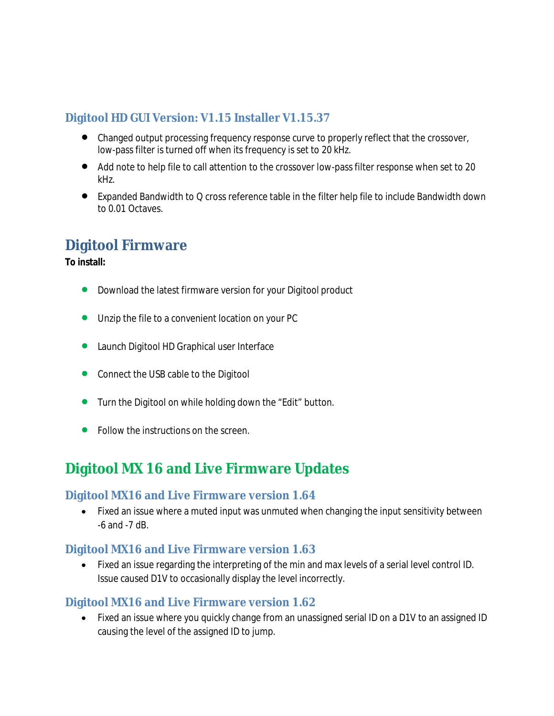#### **Digitool HD GUI Version: V1.15 Installer V1.15.37**

- Changed output processing frequency response curve to properly reflect that the crossover, low-pass filter is turned off when its frequency is set to 20 kHz.
- Add note to help file to call attention to the crossover low-pass filter response when set to 20 kHz.
- Expanded Bandwidth to Q cross reference table in the filter help file to include Bandwidth down to 0.01 Octaves.

### **Digitool Firmware**

**To install:**

- Download the latest firmware version for your Digitool product
- Unzip the file to a convenient location on your PC
- **•** Launch Digitool HD Graphical user Interface
- Connect the USB cable to the Digitool
- **•** Turn the Digitool on while holding down the "Edit" button.
- **•** Follow the instructions on the screen.

## **Digitool MX 16 and Live Firmware Updates**

#### **Digitool MX16 and Live Firmware version 1.64**

• Fixed an issue where a muted input was unmuted when changing the input sensitivity between -6 and -7 dB.

#### **Digitool MX16 and Live Firmware version 1.63**

 Fixed an issue regarding the interpreting of the min and max levels of a serial level control ID. Issue caused D1V to occasionally display the level incorrectly.

#### **Digitool MX16 and Live Firmware version 1.62**

 Fixed an issue where you quickly change from an unassigned serial ID on a D1V to an assigned ID causing the level of the assigned ID to jump.